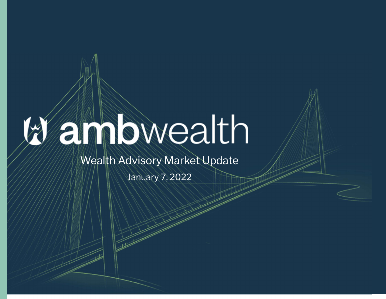## anbwealth

## Wealth Advisory Market Update

January 7, 2022